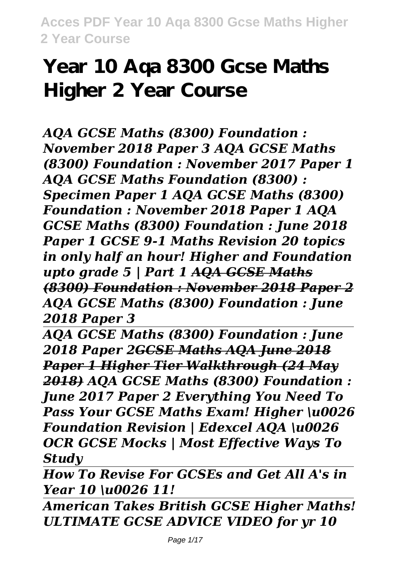# **Year 10 Aqa 8300 Gcse Maths Higher 2 Year Course**

*AQA GCSE Maths (8300) Foundation : November 2018 Paper 3 AQA GCSE Maths (8300) Foundation : November 2017 Paper 1 AQA GCSE Maths Foundation (8300) : Specimen Paper 1 AQA GCSE Maths (8300) Foundation : November 2018 Paper 1 AQA GCSE Maths (8300) Foundation : June 2018 Paper 1 GCSE 9-1 Maths Revision 20 topics in only half an hour! Higher and Foundation upto grade 5 | Part 1 AQA GCSE Maths (8300) Foundation : November 2018 Paper 2 AQA GCSE Maths (8300) Foundation : June 2018 Paper 3*

*AQA GCSE Maths (8300) Foundation : June 2018 Paper 2GCSE Maths AQA June 2018 Paper 1 Higher Tier Walkthrough (24 May 2018) AQA GCSE Maths (8300) Foundation : June 2017 Paper 2 Everything You Need To Pass Your GCSE Maths Exam! Higher \u0026 Foundation Revision | Edexcel AQA \u0026 OCR GCSE Mocks | Most Effective Ways To Study*

*How To Revise For GCSEs and Get All A's in Year 10 \u0026 11!*

*American Takes British GCSE Higher Maths! ULTIMATE GCSE ADVICE VIDEO for yr 10*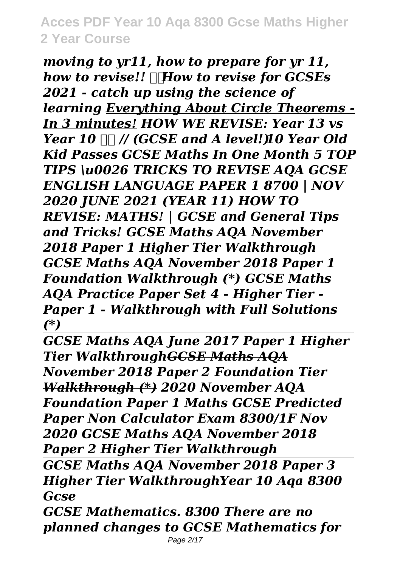*moving to yr11, how to prepare for yr 11, how to revise!! How to revise for GCSEs 2021 - catch up using the science of learning Everything About Circle Theorems - In 3 minutes! HOW WE REVISE: Year 13 vs Year 10 // (GCSE and A level!) 10 Year Old Kid Passes GCSE Maths In One Month 5 TOP TIPS \u0026 TRICKS TO REVISE AQA GCSE ENGLISH LANGUAGE PAPER 1 8700 | NOV 2020 JUNE 2021 (YEAR 11) HOW TO REVISE: MATHS! | GCSE and General Tips and Tricks! GCSE Maths AQA November 2018 Paper 1 Higher Tier Walkthrough GCSE Maths AQA November 2018 Paper 1 Foundation Walkthrough (\*) GCSE Maths AQA Practice Paper Set 4 - Higher Tier - Paper 1 - Walkthrough with Full Solutions (\*)*

*GCSE Maths AQA June 2017 Paper 1 Higher Tier WalkthroughGCSE Maths AQA November 2018 Paper 2 Foundation Tier Walkthrough (\*) 2020 November AQA Foundation Paper 1 Maths GCSE Predicted Paper Non Calculator Exam 8300/1F Nov 2020 GCSE Maths AQA November 2018 Paper 2 Higher Tier Walkthrough*

*GCSE Maths AQA November 2018 Paper 3 Higher Tier WalkthroughYear 10 Aqa 8300 Gcse*

*GCSE Mathematics. 8300 There are no planned changes to GCSE Mathematics for*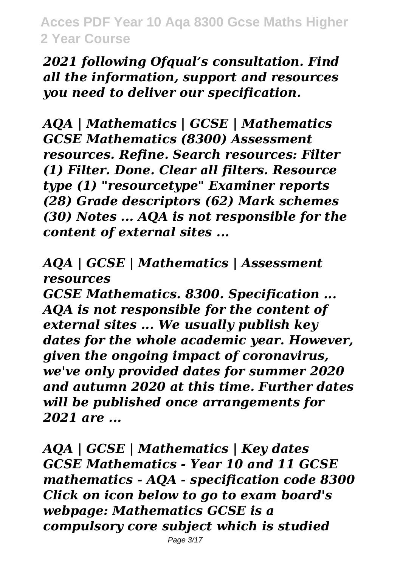*2021 following Ofqual's consultation. Find all the information, support and resources you need to deliver our specification.*

*AQA | Mathematics | GCSE | Mathematics GCSE Mathematics (8300) Assessment resources. Refine. Search resources: Filter (1) Filter. Done. Clear all filters. Resource type (1) "resourcetype" Examiner reports (28) Grade descriptors (62) Mark schemes (30) Notes ... AQA is not responsible for the content of external sites ...*

*AQA | GCSE | Mathematics | Assessment resources*

*GCSE Mathematics. 8300. Specification ... AQA is not responsible for the content of external sites ... We usually publish key dates for the whole academic year. However, given the ongoing impact of coronavirus, we've only provided dates for summer 2020 and autumn 2020 at this time. Further dates will be published once arrangements for 2021 are ...*

*AQA | GCSE | Mathematics | Key dates GCSE Mathematics - Year 10 and 11 GCSE mathematics - AQA - specification code 8300 Click on icon below to go to exam board's webpage: Mathematics GCSE is a compulsory core subject which is studied*

Page 3/17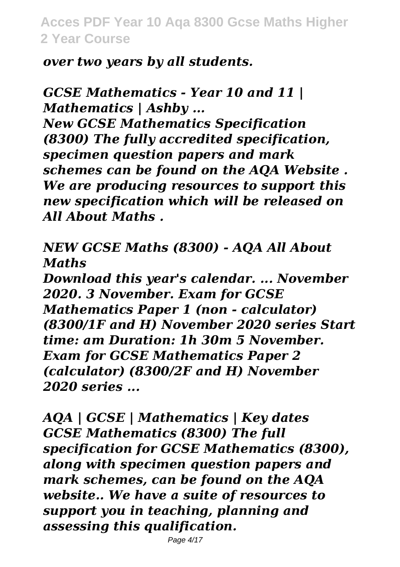*over two years by all students.*

*GCSE Mathematics - Year 10 and 11 | Mathematics | Ashby ...*

*New GCSE Mathematics Specification (8300) The fully accredited specification, specimen question papers and mark schemes can be found on the AQA Website . We are producing resources to support this new specification which will be released on All About Maths .*

*NEW GCSE Maths (8300) - AQA All About Maths*

*Download this year's calendar. ... November 2020. 3 November. Exam for GCSE Mathematics Paper 1 (non - calculator) (8300/1F and H) November 2020 series Start time: am Duration: 1h 30m 5 November. Exam for GCSE Mathematics Paper 2 (calculator) (8300/2F and H) November 2020 series ...*

*AQA | GCSE | Mathematics | Key dates GCSE Mathematics (8300) The full specification for GCSE Mathematics (8300), along with specimen question papers and mark schemes, can be found on the AQA website.. We have a suite of resources to support you in teaching, planning and assessing this qualification.*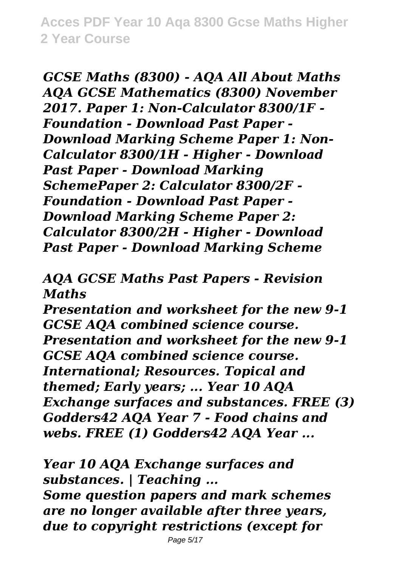*GCSE Maths (8300) - AQA All About Maths AQA GCSE Mathematics (8300) November 2017. Paper 1: Non-Calculator 8300/1F - Foundation - Download Past Paper - Download Marking Scheme Paper 1: Non-Calculator 8300/1H - Higher - Download Past Paper - Download Marking SchemePaper 2: Calculator 8300/2F - Foundation - Download Past Paper - Download Marking Scheme Paper 2: Calculator 8300/2H - Higher - Download Past Paper - Download Marking Scheme*

*AQA GCSE Maths Past Papers - Revision Maths*

*Presentation and worksheet for the new 9-1 GCSE AQA combined science course. Presentation and worksheet for the new 9-1 GCSE AQA combined science course. International; Resources. Topical and themed; Early years; ... Year 10 AQA Exchange surfaces and substances. FREE (3) Godders42 AQA Year 7 - Food chains and webs. FREE (1) Godders42 AQA Year ...*

*Year 10 AQA Exchange surfaces and substances. | Teaching ... Some question papers and mark schemes are no longer available after three years, due to copyright restrictions (except for*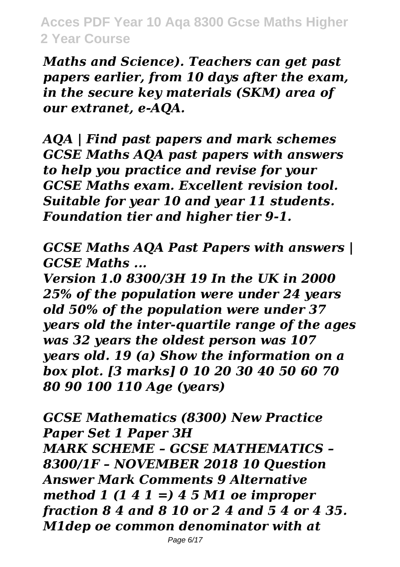*Maths and Science). Teachers can get past papers earlier, from 10 days after the exam, in the secure key materials (SKM) area of our extranet, e-AQA.*

*AQA | Find past papers and mark schemes GCSE Maths AQA past papers with answers to help you practice and revise for your GCSE Maths exam. Excellent revision tool. Suitable for year 10 and year 11 students. Foundation tier and higher tier 9-1.*

*GCSE Maths AQA Past Papers with answers | GCSE Maths ...*

*Version 1.0 8300/3H 19 In the UK in 2000 25% of the population were under 24 years old 50% of the population were under 37 years old the inter-quartile range of the ages was 32 years the oldest person was 107 years old. 19 (a) Show the information on a box plot. [3 marks] 0 10 20 30 40 50 60 70 80 90 100 110 Age (years)*

*GCSE Mathematics (8300) New Practice Paper Set 1 Paper 3H MARK SCHEME – GCSE MATHEMATICS – 8300/1F – NOVEMBER 2018 10 Question Answer Mark Comments 9 Alternative method 1 (1 4 1 =) 4 5 M1 oe improper fraction 8 4 and 8 10 or 2 4 and 5 4 or 4 35. M1dep oe common denominator with at*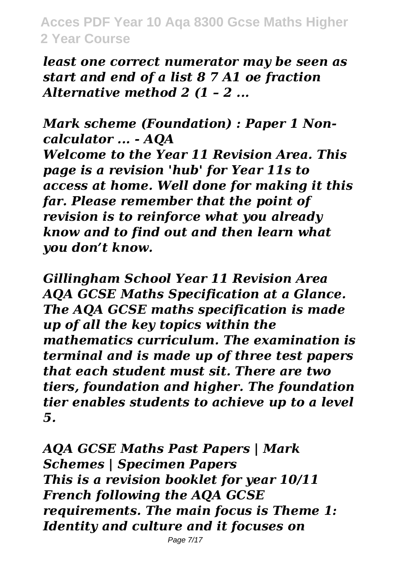*least one correct numerator may be seen as start and end of a list 8 7 A1 oe fraction Alternative method 2 (1 – 2 ...*

*Mark scheme (Foundation) : Paper 1 Noncalculator ... - AQA Welcome to the Year 11 Revision Area. This page is a revision 'hub' for Year 11s to access at home. Well done for making it this far. Please remember that the point of revision is to reinforce what you already know and to find out and then learn what you don't know.*

*Gillingham School Year 11 Revision Area AQA GCSE Maths Specification at a Glance. The AQA GCSE maths specification is made up of all the key topics within the mathematics curriculum. The examination is terminal and is made up of three test papers that each student must sit. There are two tiers, foundation and higher. The foundation tier enables students to achieve up to a level 5.*

*AQA GCSE Maths Past Papers | Mark Schemes | Specimen Papers This is a revision booklet for year 10/11 French following the AQA GCSE requirements. The main focus is Theme 1: Identity and culture and it focuses on*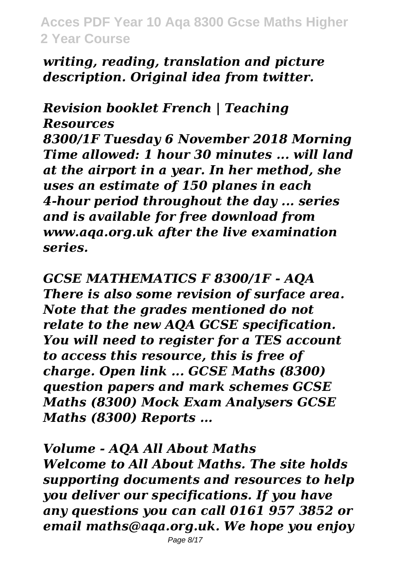*writing, reading, translation and picture description. Original idea from twitter.*

*Revision booklet French | Teaching Resources 8300/1F Tuesday 6 November 2018 Morning Time allowed: 1 hour 30 minutes ... will land at the airport in a year. In her method, she uses an estimate of 150 planes in each 4-hour period throughout the day ... series and is available for free download from www.aqa.org.uk after the live examination series.*

*GCSE MATHEMATICS F 8300/1F - AQA There is also some revision of surface area. Note that the grades mentioned do not relate to the new AQA GCSE specification. You will need to register for a TES account to access this resource, this is free of charge. Open link ... GCSE Maths (8300) question papers and mark schemes GCSE Maths (8300) Mock Exam Analysers GCSE Maths (8300) Reports ...*

*Volume - AQA All About Maths Welcome to All About Maths. The site holds supporting documents and resources to help you deliver our specifications. If you have any questions you can call 0161 957 3852 or email maths@aqa.org.uk. We hope you enjoy*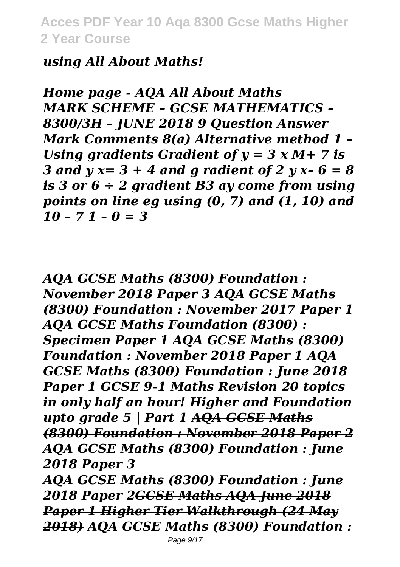#### *using All About Maths!*

*Home page - AQA All About Maths MARK SCHEME – GCSE MATHEMATICS – 8300/3H – JUNE 2018 9 Question Answer Mark Comments 8(a) Alternative method 1 – Using gradients Gradient of y = 3 x M+ 7 is 3 and y x= 3 + 4 and g radient of 2 y x– 6 = 8 is 3 or 6 ÷ 2 gradient B3 ay come from using points on line eg using (0, 7) and (1, 10) and 10 – 7 1 – 0 = 3*

*AQA GCSE Maths (8300) Foundation : November 2018 Paper 3 AQA GCSE Maths (8300) Foundation : November 2017 Paper 1 AQA GCSE Maths Foundation (8300) : Specimen Paper 1 AQA GCSE Maths (8300) Foundation : November 2018 Paper 1 AQA GCSE Maths (8300) Foundation : June 2018 Paper 1 GCSE 9-1 Maths Revision 20 topics in only half an hour! Higher and Foundation upto grade 5 | Part 1 AQA GCSE Maths (8300) Foundation : November 2018 Paper 2 AQA GCSE Maths (8300) Foundation : June 2018 Paper 3*

*AQA GCSE Maths (8300) Foundation : June 2018 Paper 2GCSE Maths AQA June 2018 Paper 1 Higher Tier Walkthrough (24 May 2018) AQA GCSE Maths (8300) Foundation :*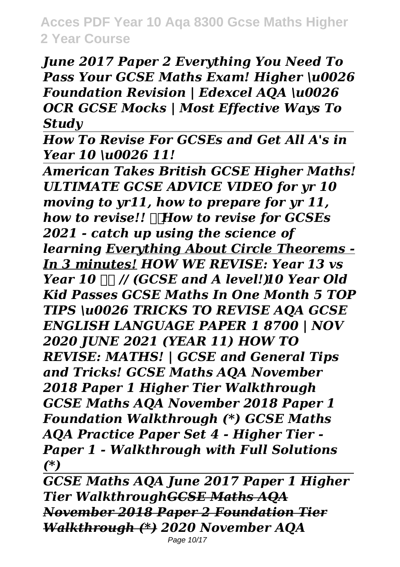*June 2017 Paper 2 Everything You Need To Pass Your GCSE Maths Exam! Higher \u0026 Foundation Revision | Edexcel AQA \u0026 OCR GCSE Mocks | Most Effective Ways To Study*

*How To Revise For GCSEs and Get All A's in Year 10 \u0026 11!*

*American Takes British GCSE Higher Maths! ULTIMATE GCSE ADVICE VIDEO for yr 10 moving to yr11, how to prepare for yr 11, how to revise!! How to revise for GCSEs 2021 - catch up using the science of learning Everything About Circle Theorems - In 3 minutes! HOW WE REVISE: Year 13 vs Year 10 // (GCSE and A level!) 10 Year Old Kid Passes GCSE Maths In One Month 5 TOP TIPS \u0026 TRICKS TO REVISE AQA GCSE ENGLISH LANGUAGE PAPER 1 8700 | NOV 2020 JUNE 2021 (YEAR 11) HOW TO REVISE: MATHS! | GCSE and General Tips and Tricks! GCSE Maths AQA November 2018 Paper 1 Higher Tier Walkthrough GCSE Maths AQA November 2018 Paper 1 Foundation Walkthrough (\*) GCSE Maths AQA Practice Paper Set 4 - Higher Tier - Paper 1 - Walkthrough with Full Solutions (\*)*

*GCSE Maths AQA June 2017 Paper 1 Higher Tier WalkthroughGCSE Maths AQA November 2018 Paper 2 Foundation Tier Walkthrough (\*) 2020 November AQA* Page 10/17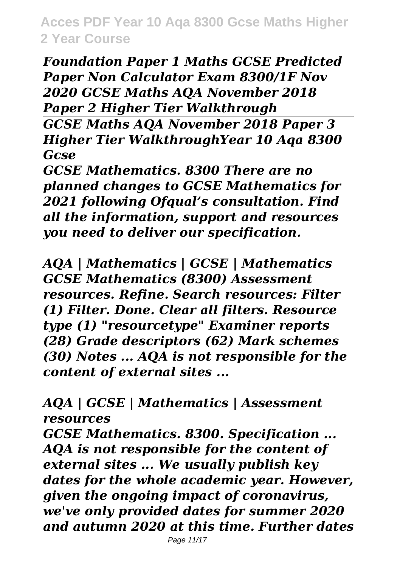*Foundation Paper 1 Maths GCSE Predicted Paper Non Calculator Exam 8300/1F Nov 2020 GCSE Maths AQA November 2018 Paper 2 Higher Tier Walkthrough GCSE Maths AQA November 2018 Paper 3 Higher Tier WalkthroughYear 10 Aqa 8300 Gcse*

*GCSE Mathematics. 8300 There are no planned changes to GCSE Mathematics for 2021 following Ofqual's consultation. Find all the information, support and resources you need to deliver our specification.*

*AQA | Mathematics | GCSE | Mathematics GCSE Mathematics (8300) Assessment resources. Refine. Search resources: Filter (1) Filter. Done. Clear all filters. Resource type (1) "resourcetype" Examiner reports (28) Grade descriptors (62) Mark schemes (30) Notes ... AQA is not responsible for the content of external sites ...*

*AQA | GCSE | Mathematics | Assessment resources*

*GCSE Mathematics. 8300. Specification ... AQA is not responsible for the content of external sites ... We usually publish key dates for the whole academic year. However, given the ongoing impact of coronavirus, we've only provided dates for summer 2020 and autumn 2020 at this time. Further dates*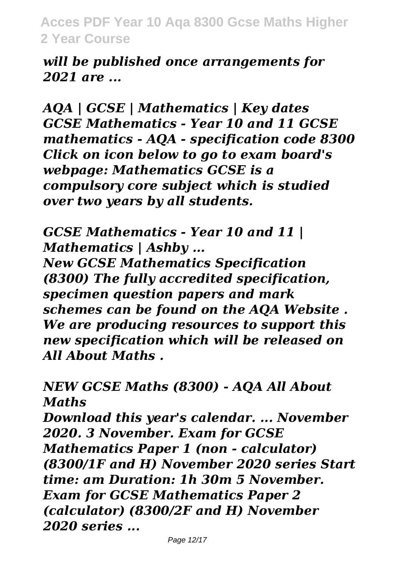*will be published once arrangements for 2021 are ...*

*AQA | GCSE | Mathematics | Key dates GCSE Mathematics - Year 10 and 11 GCSE mathematics - AQA - specification code 8300 Click on icon below to go to exam board's webpage: Mathematics GCSE is a compulsory core subject which is studied over two years by all students.*

*GCSE Mathematics - Year 10 and 11 | Mathematics | Ashby ...*

*New GCSE Mathematics Specification (8300) The fully accredited specification, specimen question papers and mark schemes can be found on the AQA Website . We are producing resources to support this new specification which will be released on All About Maths .*

*NEW GCSE Maths (8300) - AQA All About Maths Download this year's calendar. ... November 2020. 3 November. Exam for GCSE Mathematics Paper 1 (non - calculator) (8300/1F and H) November 2020 series Start time: am Duration: 1h 30m 5 November. Exam for GCSE Mathematics Paper 2 (calculator) (8300/2F and H) November*

*2020 series ...*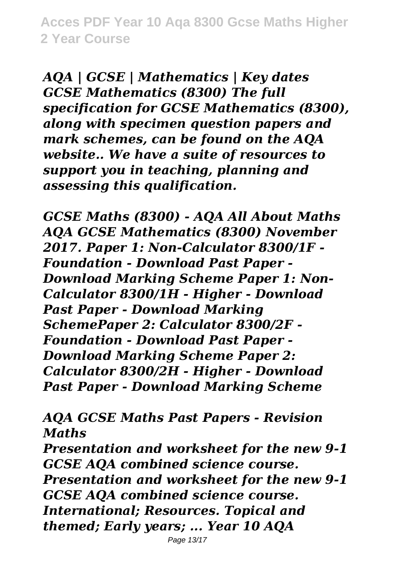*AQA | GCSE | Mathematics | Key dates GCSE Mathematics (8300) The full specification for GCSE Mathematics (8300), along with specimen question papers and mark schemes, can be found on the AQA website.. We have a suite of resources to support you in teaching, planning and assessing this qualification.*

*GCSE Maths (8300) - AQA All About Maths AQA GCSE Mathematics (8300) November 2017. Paper 1: Non-Calculator 8300/1F - Foundation - Download Past Paper - Download Marking Scheme Paper 1: Non-Calculator 8300/1H - Higher - Download Past Paper - Download Marking SchemePaper 2: Calculator 8300/2F - Foundation - Download Past Paper - Download Marking Scheme Paper 2: Calculator 8300/2H - Higher - Download Past Paper - Download Marking Scheme*

*AQA GCSE Maths Past Papers - Revision Maths*

*Presentation and worksheet for the new 9-1 GCSE AQA combined science course. Presentation and worksheet for the new 9-1 GCSE AQA combined science course. International; Resources. Topical and themed; Early years; ... Year 10 AQA*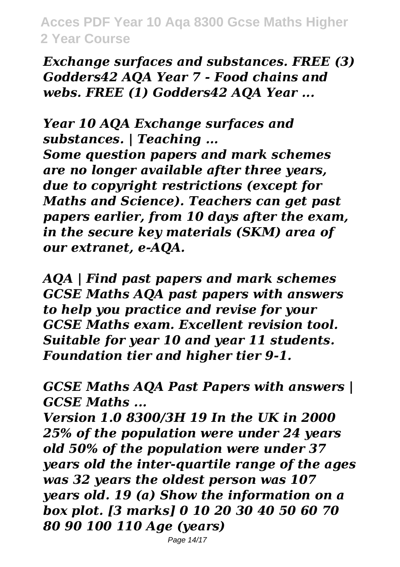*Exchange surfaces and substances. FREE (3) Godders42 AQA Year 7 - Food chains and webs. FREE (1) Godders42 AQA Year ...*

*Year 10 AQA Exchange surfaces and substances. | Teaching ...*

*Some question papers and mark schemes are no longer available after three years, due to copyright restrictions (except for Maths and Science). Teachers can get past papers earlier, from 10 days after the exam, in the secure key materials (SKM) area of our extranet, e-AQA.*

*AQA | Find past papers and mark schemes GCSE Maths AQA past papers with answers to help you practice and revise for your GCSE Maths exam. Excellent revision tool. Suitable for year 10 and year 11 students. Foundation tier and higher tier 9-1.*

*GCSE Maths AQA Past Papers with answers | GCSE Maths ...*

*Version 1.0 8300/3H 19 In the UK in 2000 25% of the population were under 24 years old 50% of the population were under 37 years old the inter-quartile range of the ages was 32 years the oldest person was 107 years old. 19 (a) Show the information on a box plot. [3 marks] 0 10 20 30 40 50 60 70 80 90 100 110 Age (years)*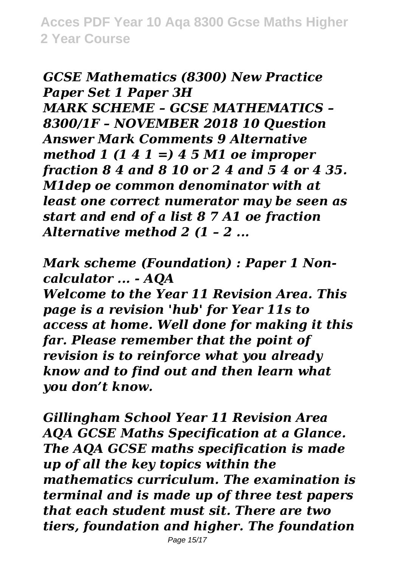*GCSE Mathematics (8300) New Practice Paper Set 1 Paper 3H MARK SCHEME – GCSE MATHEMATICS – 8300/1F – NOVEMBER 2018 10 Question Answer Mark Comments 9 Alternative method 1 (1 4 1 =) 4 5 M1 oe improper fraction 8 4 and 8 10 or 2 4 and 5 4 or 4 35. M1dep oe common denominator with at least one correct numerator may be seen as start and end of a list 8 7 A1 oe fraction Alternative method 2 (1 – 2 ...*

*Mark scheme (Foundation) : Paper 1 Noncalculator ... - AQA*

*Welcome to the Year 11 Revision Area. This page is a revision 'hub' for Year 11s to access at home. Well done for making it this far. Please remember that the point of revision is to reinforce what you already know and to find out and then learn what you don't know.*

*Gillingham School Year 11 Revision Area AQA GCSE Maths Specification at a Glance. The AQA GCSE maths specification is made up of all the key topics within the mathematics curriculum. The examination is terminal and is made up of three test papers that each student must sit. There are two tiers, foundation and higher. The foundation*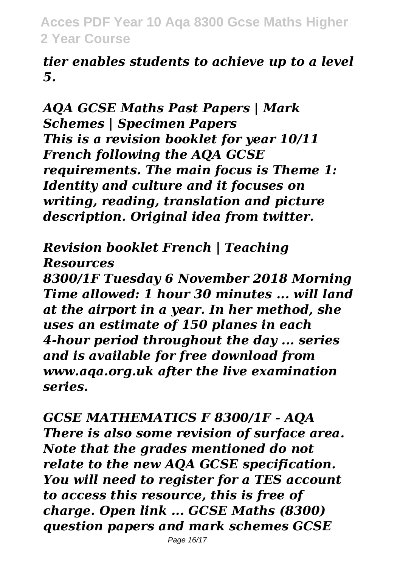*tier enables students to achieve up to a level 5.*

*AQA GCSE Maths Past Papers | Mark Schemes | Specimen Papers This is a revision booklet for year 10/11 French following the AQA GCSE requirements. The main focus is Theme 1: Identity and culture and it focuses on writing, reading, translation and picture description. Original idea from twitter.*

*Revision booklet French | Teaching Resources*

*8300/1F Tuesday 6 November 2018 Morning Time allowed: 1 hour 30 minutes ... will land at the airport in a year. In her method, she uses an estimate of 150 planes in each 4-hour period throughout the day ... series and is available for free download from www.aqa.org.uk after the live examination series.*

*GCSE MATHEMATICS F 8300/1F - AQA There is also some revision of surface area. Note that the grades mentioned do not relate to the new AQA GCSE specification. You will need to register for a TES account to access this resource, this is free of charge. Open link ... GCSE Maths (8300) question papers and mark schemes GCSE*